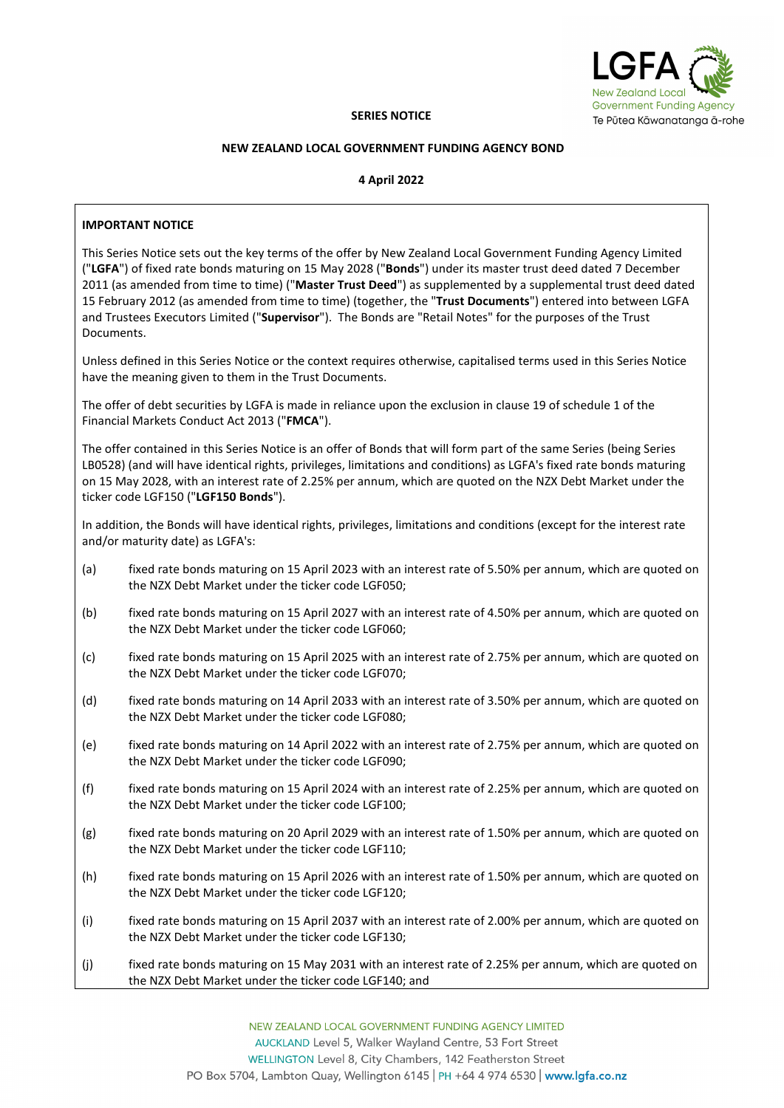

# **SERIES NOTICE**

### **NEW ZEALAND LOCAL GOVERNMENT FUNDING AGENCY BOND**

# **4 April 2022**

# **IMPORTANT NOTICE**

This Series Notice sets out the key terms of the offer by New Zealand Local Government Funding Agency Limited ("**LGFA**") of fixed rate bonds maturing on 15 May 2028 ("**Bonds**") under its master trust deed dated 7 December 2011 (as amended from time to time) ("**Master Trust Deed**") as supplemented by a supplemental trust deed dated 15 February 2012 (as amended from time to time) (together, the "**Trust Documents**") entered into between LGFA and Trustees Executors Limited ("**Supervisor**"). The Bonds are "Retail Notes" for the purposes of the Trust Documents.

Unless defined in this Series Notice or the context requires otherwise, capitalised terms used in this Series Notice have the meaning given to them in the Trust Documents.

The offer of debt securities by LGFA is made in reliance upon the exclusion in clause 19 of schedule 1 of the Financial Markets Conduct Act 2013 ("**FMCA**").

The offer contained in this Series Notice is an offer of Bonds that will form part of the same Series (being Series LB0528) (and will have identical rights, privileges, limitations and conditions) as LGFA's fixed rate bonds maturing on 15 May 2028, with an interest rate of 2.25% per annum, which are quoted on the NZX Debt Market under the ticker code LGF150 ("**LGF150 Bonds**").

In addition, the Bonds will have identical rights, privileges, limitations and conditions (except for the interest rate and/or maturity date) as LGFA's:

- (a) fixed rate bonds maturing on 15 April 2023 with an interest rate of 5.50% per annum, which are quoted on the NZX Debt Market under the ticker code LGF050;
- (b) fixed rate bonds maturing on 15 April 2027 with an interest rate of 4.50% per annum, which are quoted on the NZX Debt Market under the ticker code LGF060;
- (c) fixed rate bonds maturing on 15 April 2025 with an interest rate of 2.75% per annum, which are quoted on the NZX Debt Market under the ticker code LGF070;
- (d) fixed rate bonds maturing on 14 April 2033 with an interest rate of 3.50% per annum, which are quoted on the NZX Debt Market under the ticker code LGF080;
- (e) fixed rate bonds maturing on 14 April 2022 with an interest rate of 2.75% per annum, which are quoted on the NZX Debt Market under the ticker code LGF090;
- (f) fixed rate bonds maturing on 15 April 2024 with an interest rate of 2.25% per annum, which are quoted on the NZX Debt Market under the ticker code LGF100;
- (g) fixed rate bonds maturing on 20 April 2029 with an interest rate of 1.50% per annum, which are quoted on the NZX Debt Market under the ticker code LGF110;
- (h) fixed rate bonds maturing on 15 April 2026 with an interest rate of 1.50% per annum, which are quoted on the NZX Debt Market under the ticker code LGF120;
- (i) fixed rate bonds maturing on 15 April 2037 with an interest rate of 2.00% per annum, which are quoted on the NZX Debt Market under the ticker code LGF130;
- (j) fixed rate bonds maturing on 15 May 2031 with an interest rate of 2.25% per annum, which are quoted on the NZX Debt Market under the ticker code LGF140; and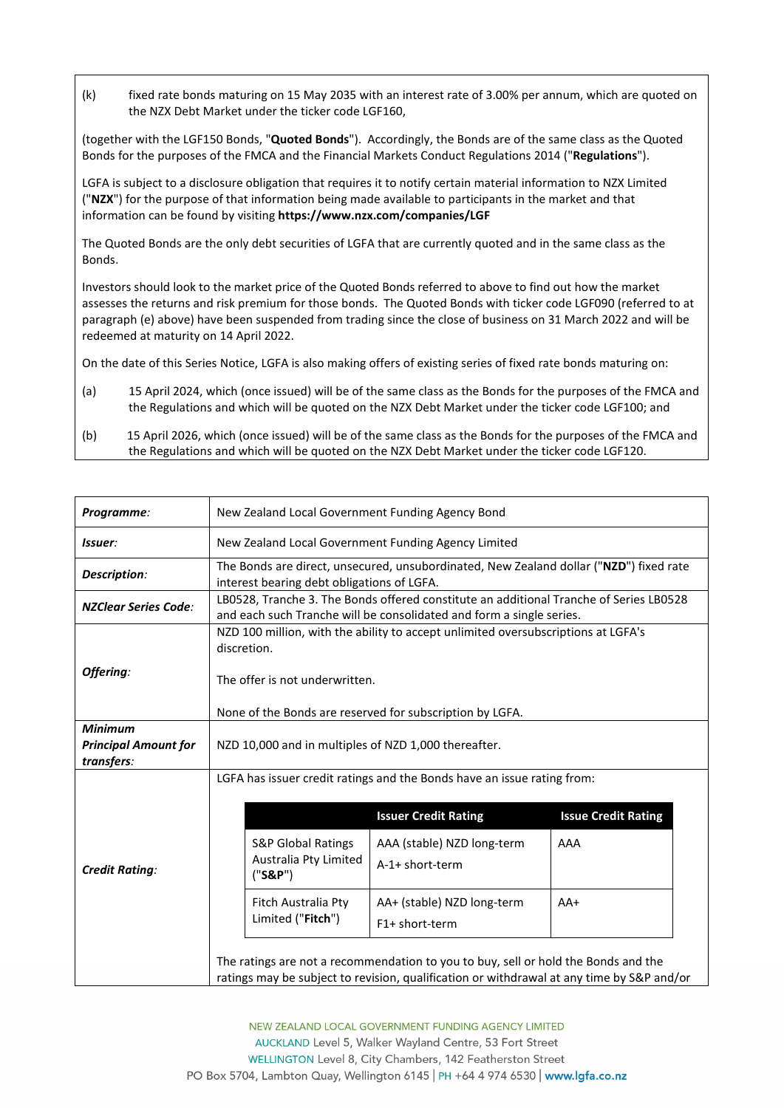(k) fixed rate bonds maturing on 15 May 2035 with an interest rate of 3.00% per annum, which are quoted on the NZX Debt Market under the ticker code LGF160.

(together with the LGF150 Bonds, "**Quoted Bonds**"). Accordingly, the Bonds are of the same class as the Quoted Bonds for the purposes of the FMCA and the Financial Markets Conduct Regulations 2014 ("**Regulations**").

LGFA is subject to a disclosure obligation that requires it to notify certain material information to NZX Limited ("**NZX**") for the purpose of that information being made available to participants in the market and that information can be found by visiting **<https://www.nzx.com/companies/LGF>**

The Quoted Bonds are the only debt securities of LGFA that are currently quoted and in the same class as the Bonds.

Investors should look to the market price of the Quoted Bonds referred to above to find out how the market assesses the returns and risk premium for those bonds. The Quoted Bonds with ticker code LGF090 (referred to at paragraph (e) above) have been suspended from trading since the close of business on 31 March 2022 and will be redeemed at maturity on 14 April 2022.

On the date of this Series Notice, LGFA is also making offers of existing series of fixed rate bonds maturing on:

- (a) 15 April 2024, which (once issued) will be of the same class as the Bonds for the purposes of the FMCA and the Regulations and which will be quoted on the NZX Debt Market under the ticker code LGF100; and
- (b) 15 April 2026, which (once issued) will be of the same class as the Bonds for the purposes of the FMCA and the Regulations and which will be quoted on the NZX Debt Market under the ticker code LGF120.

| Programme:                                                  | New Zealand Local Government Funding Agency Bond                                                                                                                                               |
|-------------------------------------------------------------|------------------------------------------------------------------------------------------------------------------------------------------------------------------------------------------------|
| Issuer:                                                     | New Zealand Local Government Funding Agency Limited                                                                                                                                            |
| Description:                                                | The Bonds are direct, unsecured, unsubordinated, New Zealand dollar ("NZD") fixed rate<br>interest bearing debt obligations of LGFA.                                                           |
| <b>NZClear Series Code:</b>                                 | LB0528, Tranche 3. The Bonds offered constitute an additional Tranche of Series LB0528<br>and each such Tranche will be consolidated and form a single series.                                 |
| Offering:                                                   | NZD 100 million, with the ability to accept unlimited oversubscriptions at LGFA's<br>discretion.<br>The offer is not underwritten.<br>None of the Bonds are reserved for subscription by LGFA. |
| <b>Minimum</b><br><b>Principal Amount for</b><br>transfers: | NZD 10,000 and in multiples of NZD 1,000 thereafter.                                                                                                                                           |
|                                                             | LGFA has issuer credit ratings and the Bonds have an issue rating from:                                                                                                                        |
|                                                             | <b>Issue Credit Rating</b><br><b>Issuer Credit Rating</b>                                                                                                                                      |
| <b>Credit Rating:</b>                                       | <b>S&amp;P Global Ratings</b><br>AAA (stable) NZD long-term<br>AAA<br>Australia Pty Limited<br>A-1+ short-term<br>$("S\&P")$                                                                   |
|                                                             | Fitch Australia Pty<br>AA+ (stable) NZD long-term<br>$AA+$<br>Limited ("Fitch")<br>F1+ short-term                                                                                              |
|                                                             | The ratings are not a recommendation to you to buy, sell or hold the Bonds and the<br>ratings may be subject to revision, qualification or withdrawal at any time by S&P and/or                |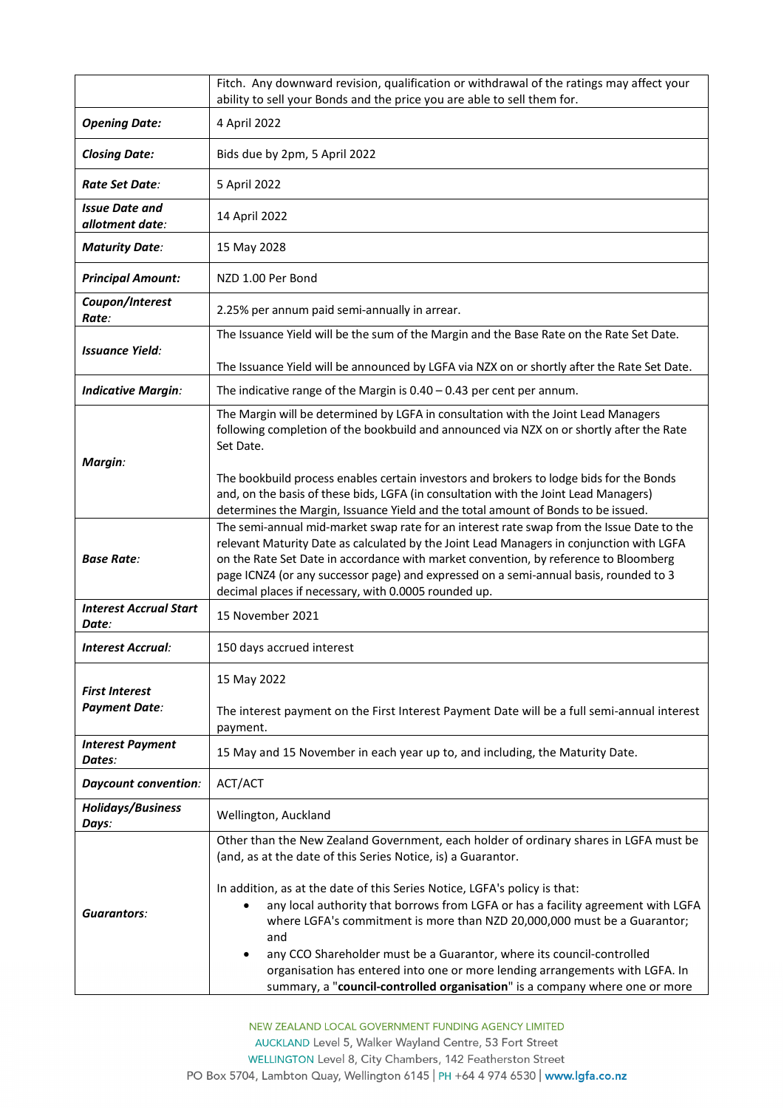|                                          | Fitch. Any downward revision, qualification or withdrawal of the ratings may affect your<br>ability to sell your Bonds and the price you are able to sell them for.                                                                                                                                                                                                                                                            |
|------------------------------------------|--------------------------------------------------------------------------------------------------------------------------------------------------------------------------------------------------------------------------------------------------------------------------------------------------------------------------------------------------------------------------------------------------------------------------------|
| <b>Opening Date:</b>                     | 4 April 2022                                                                                                                                                                                                                                                                                                                                                                                                                   |
| <b>Closing Date:</b>                     | Bids due by 2pm, 5 April 2022                                                                                                                                                                                                                                                                                                                                                                                                  |
| Rate Set Date:                           | 5 April 2022                                                                                                                                                                                                                                                                                                                                                                                                                   |
| <b>Issue Date and</b><br>allotment date: | 14 April 2022                                                                                                                                                                                                                                                                                                                                                                                                                  |
| <b>Maturity Date:</b>                    | 15 May 2028                                                                                                                                                                                                                                                                                                                                                                                                                    |
| <b>Principal Amount:</b>                 | NZD 1.00 Per Bond                                                                                                                                                                                                                                                                                                                                                                                                              |
| Coupon/Interest<br>Rate:                 | 2.25% per annum paid semi-annually in arrear.                                                                                                                                                                                                                                                                                                                                                                                  |
| <b>Issuance Yield:</b>                   | The Issuance Yield will be the sum of the Margin and the Base Rate on the Rate Set Date.                                                                                                                                                                                                                                                                                                                                       |
|                                          | The Issuance Yield will be announced by LGFA via NZX on or shortly after the Rate Set Date.                                                                                                                                                                                                                                                                                                                                    |
| <b>Indicative Margin:</b>                | The indicative range of the Margin is $0.40 - 0.43$ per cent per annum.                                                                                                                                                                                                                                                                                                                                                        |
|                                          | The Margin will be determined by LGFA in consultation with the Joint Lead Managers<br>following completion of the bookbuild and announced via NZX on or shortly after the Rate<br>Set Date.                                                                                                                                                                                                                                    |
| Margin:                                  | The bookbuild process enables certain investors and brokers to lodge bids for the Bonds<br>and, on the basis of these bids, LGFA (in consultation with the Joint Lead Managers)<br>determines the Margin, Issuance Yield and the total amount of Bonds to be issued.                                                                                                                                                           |
| <b>Base Rate:</b>                        | The semi-annual mid-market swap rate for an interest rate swap from the Issue Date to the<br>relevant Maturity Date as calculated by the Joint Lead Managers in conjunction with LGFA<br>on the Rate Set Date in accordance with market convention, by reference to Bloomberg<br>page ICNZ4 (or any successor page) and expressed on a semi-annual basis, rounded to 3<br>decimal places if necessary, with 0.0005 rounded up. |
| <b>Interest Accrual Start</b><br>Date:   | 15 November 2021                                                                                                                                                                                                                                                                                                                                                                                                               |
| <b>Interest Accrual:</b>                 | 150 days accrued interest                                                                                                                                                                                                                                                                                                                                                                                                      |
| <b>First Interest</b>                    | 15 May 2022                                                                                                                                                                                                                                                                                                                                                                                                                    |
| <b>Payment Date:</b>                     | The interest payment on the First Interest Payment Date will be a full semi-annual interest<br>payment.                                                                                                                                                                                                                                                                                                                        |
| <b>Interest Payment</b><br>Dates:        | 15 May and 15 November in each year up to, and including, the Maturity Date.                                                                                                                                                                                                                                                                                                                                                   |
| <b>Daycount convention:</b>              | ACT/ACT                                                                                                                                                                                                                                                                                                                                                                                                                        |
| <b>Holidays/Business</b><br>Days:        | Wellington, Auckland                                                                                                                                                                                                                                                                                                                                                                                                           |
|                                          | Other than the New Zealand Government, each holder of ordinary shares in LGFA must be<br>(and, as at the date of this Series Notice, is) a Guarantor.                                                                                                                                                                                                                                                                          |
| <b>Guarantors:</b>                       | In addition, as at the date of this Series Notice, LGFA's policy is that:<br>any local authority that borrows from LGFA or has a facility agreement with LGFA<br>$\bullet$<br>where LGFA's commitment is more than NZD 20,000,000 must be a Guarantor;<br>and<br>any CCO Shareholder must be a Guarantor, where its council-controlled<br>٠<br>organisation has entered into one or more lending arrangements with LGFA. In    |
|                                          | summary, a "council-controlled organisation" is a company where one or more                                                                                                                                                                                                                                                                                                                                                    |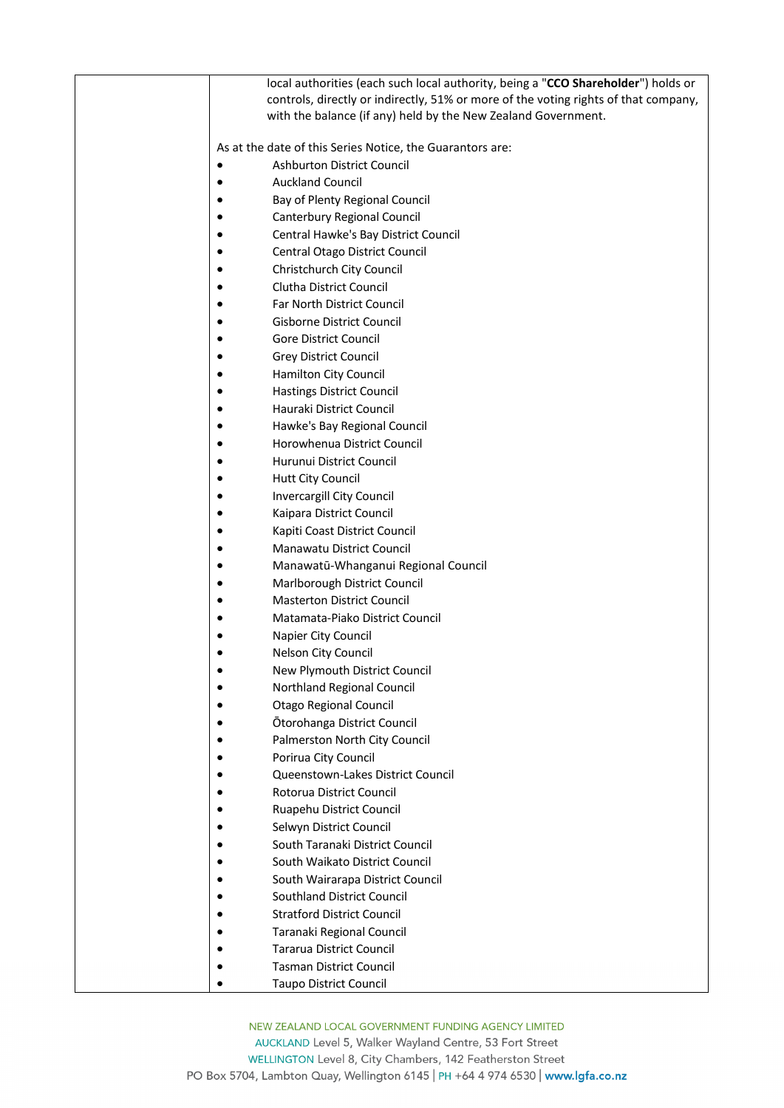| local authorities (each such local authority, being a "CCO Shareholder") holds or<br>controls, directly or indirectly, 51% or more of the voting rights of that company,<br>with the balance (if any) held by the New Zealand Government. |
|-------------------------------------------------------------------------------------------------------------------------------------------------------------------------------------------------------------------------------------------|
| As at the date of this Series Notice, the Guarantors are:                                                                                                                                                                                 |
| <b>Ashburton District Council</b>                                                                                                                                                                                                         |
| <b>Auckland Council</b>                                                                                                                                                                                                                   |
| Bay of Plenty Regional Council                                                                                                                                                                                                            |
| Canterbury Regional Council                                                                                                                                                                                                               |
| Central Hawke's Bay District Council                                                                                                                                                                                                      |
| Central Otago District Council                                                                                                                                                                                                            |
|                                                                                                                                                                                                                                           |
| Christchurch City Council<br>Clutha District Council                                                                                                                                                                                      |
| Far North District Council                                                                                                                                                                                                                |
| Gisborne District Council                                                                                                                                                                                                                 |
| Gore District Council                                                                                                                                                                                                                     |
| Grey District Council                                                                                                                                                                                                                     |
| Hamilton City Council                                                                                                                                                                                                                     |
| <b>Hastings District Council</b>                                                                                                                                                                                                          |
| Hauraki District Council                                                                                                                                                                                                                  |
|                                                                                                                                                                                                                                           |
| Hawke's Bay Regional Council<br>Horowhenua District Council                                                                                                                                                                               |
|                                                                                                                                                                                                                                           |
| Hurunui District Council                                                                                                                                                                                                                  |
| Hutt City Council                                                                                                                                                                                                                         |
| Invercargill City Council                                                                                                                                                                                                                 |
| Kaipara District Council                                                                                                                                                                                                                  |
| Kapiti Coast District Council                                                                                                                                                                                                             |
| Manawatu District Council                                                                                                                                                                                                                 |
| Manawatū-Whanganui Regional Council                                                                                                                                                                                                       |
| Marlborough District Council                                                                                                                                                                                                              |
| <b>Masterton District Council</b>                                                                                                                                                                                                         |
| Matamata-Piako District Council                                                                                                                                                                                                           |
| Napier City Council                                                                                                                                                                                                                       |
| Nelson City Council                                                                                                                                                                                                                       |
| New Plymouth District Council                                                                                                                                                                                                             |
| Northland Regional Council                                                                                                                                                                                                                |
| <b>Otago Regional Council</b>                                                                                                                                                                                                             |
| Ōtorohanga District Council                                                                                                                                                                                                               |
| Palmerston North City Council                                                                                                                                                                                                             |
| Porirua City Council                                                                                                                                                                                                                      |
| Queenstown-Lakes District Council                                                                                                                                                                                                         |
| Rotorua District Council                                                                                                                                                                                                                  |
| Ruapehu District Council                                                                                                                                                                                                                  |
| Selwyn District Council                                                                                                                                                                                                                   |
| South Taranaki District Council                                                                                                                                                                                                           |
| South Waikato District Council                                                                                                                                                                                                            |
| South Wairarapa District Council                                                                                                                                                                                                          |
| Southland District Council                                                                                                                                                                                                                |
| <b>Stratford District Council</b>                                                                                                                                                                                                         |
| Taranaki Regional Council                                                                                                                                                                                                                 |
| <b>Tararua District Council</b>                                                                                                                                                                                                           |
| <b>Tasman District Council</b>                                                                                                                                                                                                            |
| <b>Taupo District Council</b>                                                                                                                                                                                                             |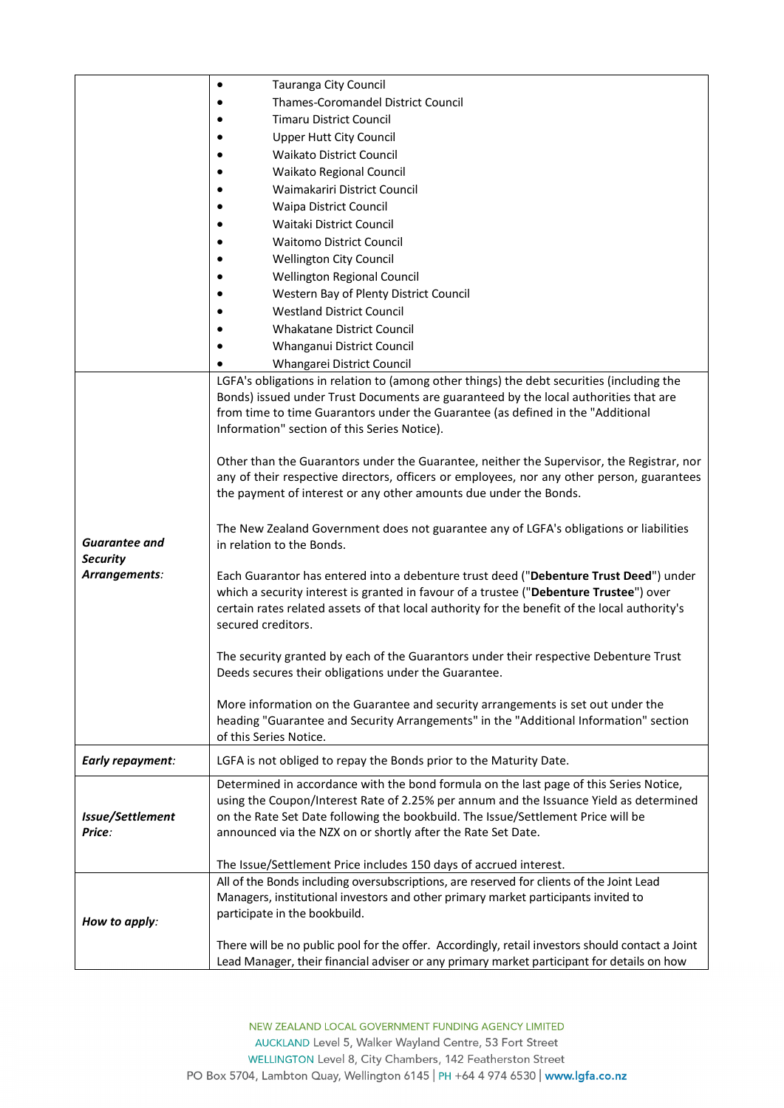|                                  | Tauranga City Council<br>$\bullet$                                                               |
|----------------------------------|--------------------------------------------------------------------------------------------------|
|                                  | Thames-Coromandel District Council                                                               |
|                                  | <b>Timaru District Council</b>                                                                   |
|                                  | <b>Upper Hutt City Council</b>                                                                   |
|                                  | <b>Waikato District Council</b>                                                                  |
|                                  | Waikato Regional Council                                                                         |
|                                  | Waimakariri District Council                                                                     |
|                                  | <b>Waipa District Council</b>                                                                    |
|                                  | Waitaki District Council                                                                         |
|                                  | <b>Waitomo District Council</b>                                                                  |
|                                  | <b>Wellington City Council</b>                                                                   |
|                                  | Wellington Regional Council                                                                      |
|                                  | Western Bay of Plenty District Council                                                           |
|                                  | <b>Westland District Council</b>                                                                 |
|                                  | <b>Whakatane District Council</b>                                                                |
|                                  | Whanganui District Council                                                                       |
|                                  | Whangarei District Council                                                                       |
|                                  | LGFA's obligations in relation to (among other things) the debt securities (including the        |
|                                  | Bonds) issued under Trust Documents are guaranteed by the local authorities that are             |
|                                  | from time to time Guarantors under the Guarantee (as defined in the "Additional                  |
|                                  | Information" section of this Series Notice).                                                     |
|                                  |                                                                                                  |
|                                  | Other than the Guarantors under the Guarantee, neither the Supervisor, the Registrar, nor        |
|                                  | any of their respective directors, officers or employees, nor any other person, guarantees       |
|                                  | the payment of interest or any other amounts due under the Bonds.                                |
|                                  |                                                                                                  |
|                                  | The New Zealand Government does not guarantee any of LGFA's obligations or liabilities           |
| Guarantee and                    | in relation to the Bonds.                                                                        |
| <b>Security</b><br>Arrangements: | Each Guarantor has entered into a debenture trust deed ("Debenture Trust Deed") under            |
|                                  | which a security interest is granted in favour of a trustee ("Debenture Trustee") over           |
|                                  | certain rates related assets of that local authority for the benefit of the local authority's    |
|                                  | secured creditors.                                                                               |
|                                  |                                                                                                  |
|                                  | The security granted by each of the Guarantors under their respective Debenture Trust            |
|                                  | Deeds secures their obligations under the Guarantee.                                             |
|                                  |                                                                                                  |
|                                  | More information on the Guarantee and security arrangements is set out under the                 |
|                                  | heading "Guarantee and Security Arrangements" in the "Additional Information" section            |
|                                  | of this Series Notice.                                                                           |
| Early repayment:                 | LGFA is not obliged to repay the Bonds prior to the Maturity Date.                               |
|                                  | Determined in accordance with the bond formula on the last page of this Series Notice,           |
|                                  | using the Coupon/Interest Rate of 2.25% per annum and the Issuance Yield as determined           |
| Issue/Settlement                 | on the Rate Set Date following the bookbuild. The Issue/Settlement Price will be                 |
| Price:                           | announced via the NZX on or shortly after the Rate Set Date.                                     |
|                                  | The Issue/Settlement Price includes 150 days of accrued interest.                                |
|                                  | All of the Bonds including oversubscriptions, are reserved for clients of the Joint Lead         |
|                                  | Managers, institutional investors and other primary market participants invited to               |
|                                  | participate in the bookbuild.                                                                    |
| How to apply:                    |                                                                                                  |
|                                  | There will be no public pool for the offer. Accordingly, retail investors should contact a Joint |
|                                  | Lead Manager, their financial adviser or any primary market participant for details on how       |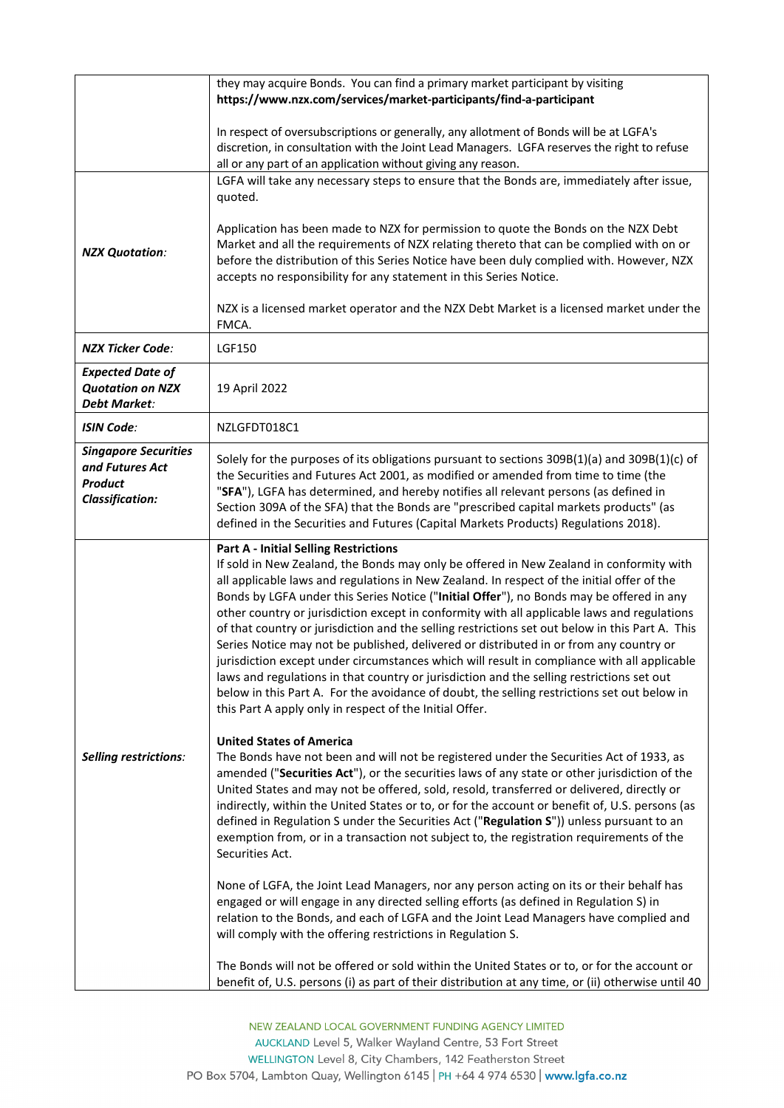|                                                                                            | they may acquire Bonds. You can find a primary market participant by visiting<br>https://www.nzx.com/services/market-participants/find-a-participant                                                                                                                                                                                                                                                                                                                                                                                                                                                                                                                                                                                                                                                                                                                                                                                                                                                                                                                                                                                                                                                                                                                                                                                                                                                                                                                                                                                                                                                                                                                                                                                                                                                                                                                                                                                                                     |
|--------------------------------------------------------------------------------------------|--------------------------------------------------------------------------------------------------------------------------------------------------------------------------------------------------------------------------------------------------------------------------------------------------------------------------------------------------------------------------------------------------------------------------------------------------------------------------------------------------------------------------------------------------------------------------------------------------------------------------------------------------------------------------------------------------------------------------------------------------------------------------------------------------------------------------------------------------------------------------------------------------------------------------------------------------------------------------------------------------------------------------------------------------------------------------------------------------------------------------------------------------------------------------------------------------------------------------------------------------------------------------------------------------------------------------------------------------------------------------------------------------------------------------------------------------------------------------------------------------------------------------------------------------------------------------------------------------------------------------------------------------------------------------------------------------------------------------------------------------------------------------------------------------------------------------------------------------------------------------------------------------------------------------------------------------------------------------|
|                                                                                            | In respect of oversubscriptions or generally, any allotment of Bonds will be at LGFA's<br>discretion, in consultation with the Joint Lead Managers. LGFA reserves the right to refuse<br>all or any part of an application without giving any reason.                                                                                                                                                                                                                                                                                                                                                                                                                                                                                                                                                                                                                                                                                                                                                                                                                                                                                                                                                                                                                                                                                                                                                                                                                                                                                                                                                                                                                                                                                                                                                                                                                                                                                                                    |
| <b>NZX Quotation:</b>                                                                      | LGFA will take any necessary steps to ensure that the Bonds are, immediately after issue,<br>quoted.<br>Application has been made to NZX for permission to quote the Bonds on the NZX Debt<br>Market and all the requirements of NZX relating thereto that can be complied with on or<br>before the distribution of this Series Notice have been duly complied with. However, NZX<br>accepts no responsibility for any statement in this Series Notice.<br>NZX is a licensed market operator and the NZX Debt Market is a licensed market under the<br>FMCA.                                                                                                                                                                                                                                                                                                                                                                                                                                                                                                                                                                                                                                                                                                                                                                                                                                                                                                                                                                                                                                                                                                                                                                                                                                                                                                                                                                                                             |
| <b>NZX Ticker Code:</b>                                                                    | <b>LGF150</b>                                                                                                                                                                                                                                                                                                                                                                                                                                                                                                                                                                                                                                                                                                                                                                                                                                                                                                                                                                                                                                                                                                                                                                                                                                                                                                                                                                                                                                                                                                                                                                                                                                                                                                                                                                                                                                                                                                                                                            |
| <b>Expected Date of</b><br><b>Quotation on NZX</b><br><b>Debt Market:</b>                  | 19 April 2022                                                                                                                                                                                                                                                                                                                                                                                                                                                                                                                                                                                                                                                                                                                                                                                                                                                                                                                                                                                                                                                                                                                                                                                                                                                                                                                                                                                                                                                                                                                                                                                                                                                                                                                                                                                                                                                                                                                                                            |
| <b>ISIN Code:</b>                                                                          | NZLGFDT018C1                                                                                                                                                                                                                                                                                                                                                                                                                                                                                                                                                                                                                                                                                                                                                                                                                                                                                                                                                                                                                                                                                                                                                                                                                                                                                                                                                                                                                                                                                                                                                                                                                                                                                                                                                                                                                                                                                                                                                             |
| <b>Singapore Securities</b><br>and Futures Act<br><b>Product</b><br><b>Classification:</b> | Solely for the purposes of its obligations pursuant to sections 309B(1)(a) and 309B(1)(c) of<br>the Securities and Futures Act 2001, as modified or amended from time to time (the<br>"SFA"), LGFA has determined, and hereby notifies all relevant persons (as defined in<br>Section 309A of the SFA) that the Bonds are "prescribed capital markets products" (as<br>defined in the Securities and Futures (Capital Markets Products) Regulations 2018).                                                                                                                                                                                                                                                                                                                                                                                                                                                                                                                                                                                                                                                                                                                                                                                                                                                                                                                                                                                                                                                                                                                                                                                                                                                                                                                                                                                                                                                                                                               |
| Selling restrictions:                                                                      | <b>Part A - Initial Selling Restrictions</b><br>If sold in New Zealand, the Bonds may only be offered in New Zealand in conformity with<br>all applicable laws and regulations in New Zealand. In respect of the initial offer of the<br>Bonds by LGFA under this Series Notice ("Initial Offer"), no Bonds may be offered in any<br>other country or jurisdiction except in conformity with all applicable laws and regulations<br>of that country or jurisdiction and the selling restrictions set out below in this Part A. This<br>Series Notice may not be published, delivered or distributed in or from any country or<br>jurisdiction except under circumstances which will result in compliance with all applicable<br>laws and regulations in that country or jurisdiction and the selling restrictions set out<br>below in this Part A. For the avoidance of doubt, the selling restrictions set out below in<br>this Part A apply only in respect of the Initial Offer.<br><b>United States of America</b><br>The Bonds have not been and will not be registered under the Securities Act of 1933, as<br>amended ("Securities Act"), or the securities laws of any state or other jurisdiction of the<br>United States and may not be offered, sold, resold, transferred or delivered, directly or<br>indirectly, within the United States or to, or for the account or benefit of, U.S. persons (as<br>defined in Regulation S under the Securities Act ("Regulation S")) unless pursuant to an<br>exemption from, or in a transaction not subject to, the registration requirements of the<br>Securities Act.<br>None of LGFA, the Joint Lead Managers, nor any person acting on its or their behalf has<br>engaged or will engage in any directed selling efforts (as defined in Regulation S) in<br>relation to the Bonds, and each of LGFA and the Joint Lead Managers have complied and<br>will comply with the offering restrictions in Regulation S. |
|                                                                                            | The Bonds will not be offered or sold within the United States or to, or for the account or<br>benefit of, U.S. persons (i) as part of their distribution at any time, or (ii) otherwise until 40                                                                                                                                                                                                                                                                                                                                                                                                                                                                                                                                                                                                                                                                                                                                                                                                                                                                                                                                                                                                                                                                                                                                                                                                                                                                                                                                                                                                                                                                                                                                                                                                                                                                                                                                                                        |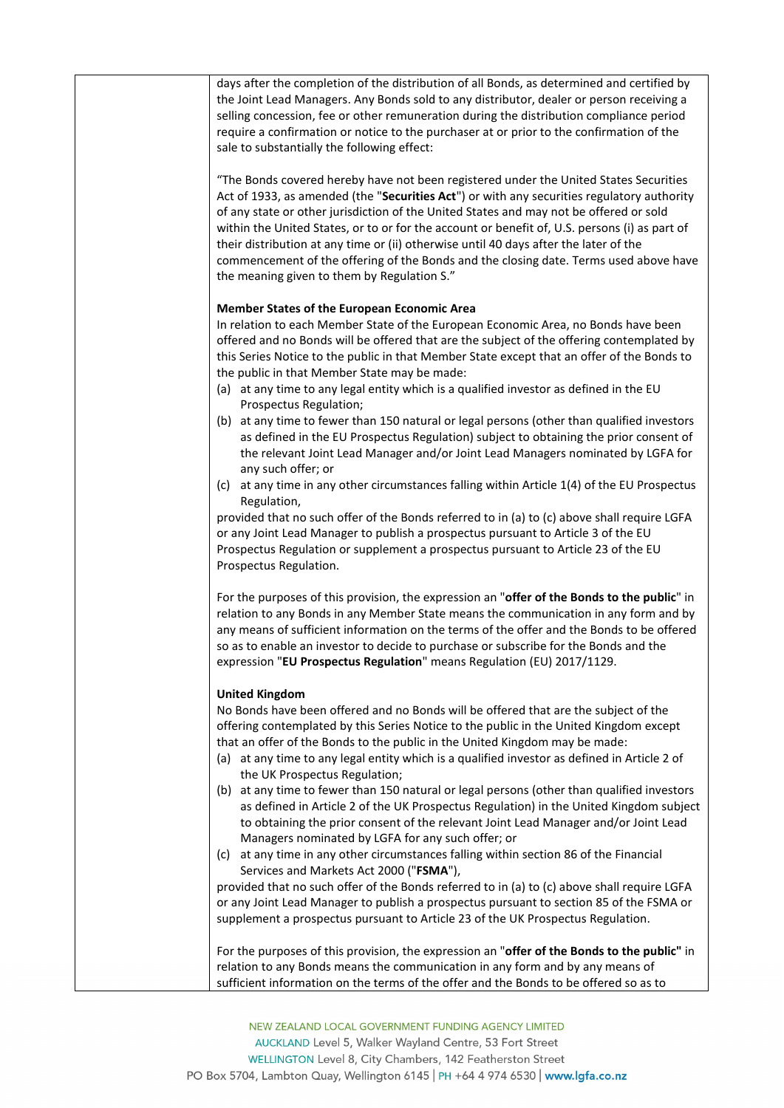| days after the completion of the distribution of all Bonds, as determined and certified by<br>the Joint Lead Managers. Any Bonds sold to any distributor, dealer or person receiving a<br>selling concession, fee or other remuneration during the distribution compliance period<br>require a confirmation or notice to the purchaser at or prior to the confirmation of the<br>sale to substantially the following effect:                                                                                                                                                                                    |
|-----------------------------------------------------------------------------------------------------------------------------------------------------------------------------------------------------------------------------------------------------------------------------------------------------------------------------------------------------------------------------------------------------------------------------------------------------------------------------------------------------------------------------------------------------------------------------------------------------------------|
| "The Bonds covered hereby have not been registered under the United States Securities<br>Act of 1933, as amended (the "Securities Act") or with any securities regulatory authority<br>of any state or other jurisdiction of the United States and may not be offered or sold<br>within the United States, or to or for the account or benefit of, U.S. persons (i) as part of<br>their distribution at any time or (ii) otherwise until 40 days after the later of the<br>commencement of the offering of the Bonds and the closing date. Terms used above have<br>the meaning given to them by Regulation S." |
|                                                                                                                                                                                                                                                                                                                                                                                                                                                                                                                                                                                                                 |
| Member States of the European Economic Area<br>In relation to each Member State of the European Economic Area, no Bonds have been<br>offered and no Bonds will be offered that are the subject of the offering contemplated by<br>this Series Notice to the public in that Member State except that an offer of the Bonds to<br>the public in that Member State may be made:                                                                                                                                                                                                                                    |
| (a) at any time to any legal entity which is a qualified investor as defined in the EU<br>Prospectus Regulation;                                                                                                                                                                                                                                                                                                                                                                                                                                                                                                |
| (b) at any time to fewer than 150 natural or legal persons (other than qualified investors<br>as defined in the EU Prospectus Regulation) subject to obtaining the prior consent of<br>the relevant Joint Lead Manager and/or Joint Lead Managers nominated by LGFA for<br>any such offer; or                                                                                                                                                                                                                                                                                                                   |
| (c) at any time in any other circumstances falling within Article 1(4) of the EU Prospectus<br>Regulation,                                                                                                                                                                                                                                                                                                                                                                                                                                                                                                      |
| provided that no such offer of the Bonds referred to in (a) to (c) above shall require LGFA<br>or any Joint Lead Manager to publish a prospectus pursuant to Article 3 of the EU<br>Prospectus Regulation or supplement a prospectus pursuant to Article 23 of the EU<br>Prospectus Regulation.                                                                                                                                                                                                                                                                                                                 |
| For the purposes of this provision, the expression an "offer of the Bonds to the public" in<br>relation to any Bonds in any Member State means the communication in any form and by<br>any means of sufficient information on the terms of the offer and the Bonds to be offered<br>so as to enable an investor to decide to purchase or subscribe for the Bonds and the<br>expression "EU Prospectus Regulation" means Regulation (EU) 2017/1129.                                                                                                                                                              |
| <b>United Kingdom</b>                                                                                                                                                                                                                                                                                                                                                                                                                                                                                                                                                                                           |
| No Bonds have been offered and no Bonds will be offered that are the subject of the<br>offering contemplated by this Series Notice to the public in the United Kingdom except<br>that an offer of the Bonds to the public in the United Kingdom may be made:<br>(a) at any time to any legal entity which is a qualified investor as defined in Article 2 of<br>the UK Prospectus Regulation;                                                                                                                                                                                                                   |
| (b) at any time to fewer than 150 natural or legal persons (other than qualified investors<br>as defined in Article 2 of the UK Prospectus Regulation) in the United Kingdom subject<br>to obtaining the prior consent of the relevant Joint Lead Manager and/or Joint Lead<br>Managers nominated by LGFA for any such offer; or                                                                                                                                                                                                                                                                                |
| (c) at any time in any other circumstances falling within section 86 of the Financial<br>Services and Markets Act 2000 ("FSMA"),                                                                                                                                                                                                                                                                                                                                                                                                                                                                                |
| provided that no such offer of the Bonds referred to in (a) to (c) above shall require LGFA<br>or any Joint Lead Manager to publish a prospectus pursuant to section 85 of the FSMA or<br>supplement a prospectus pursuant to Article 23 of the UK Prospectus Regulation.                                                                                                                                                                                                                                                                                                                                       |
| For the purposes of this provision, the expression an "offer of the Bonds to the public" in<br>relation to any Bonds means the communication in any form and by any means of                                                                                                                                                                                                                                                                                                                                                                                                                                    |
| sufficient information on the terms of the offer and the Bonds to be offered so as to                                                                                                                                                                                                                                                                                                                                                                                                                                                                                                                           |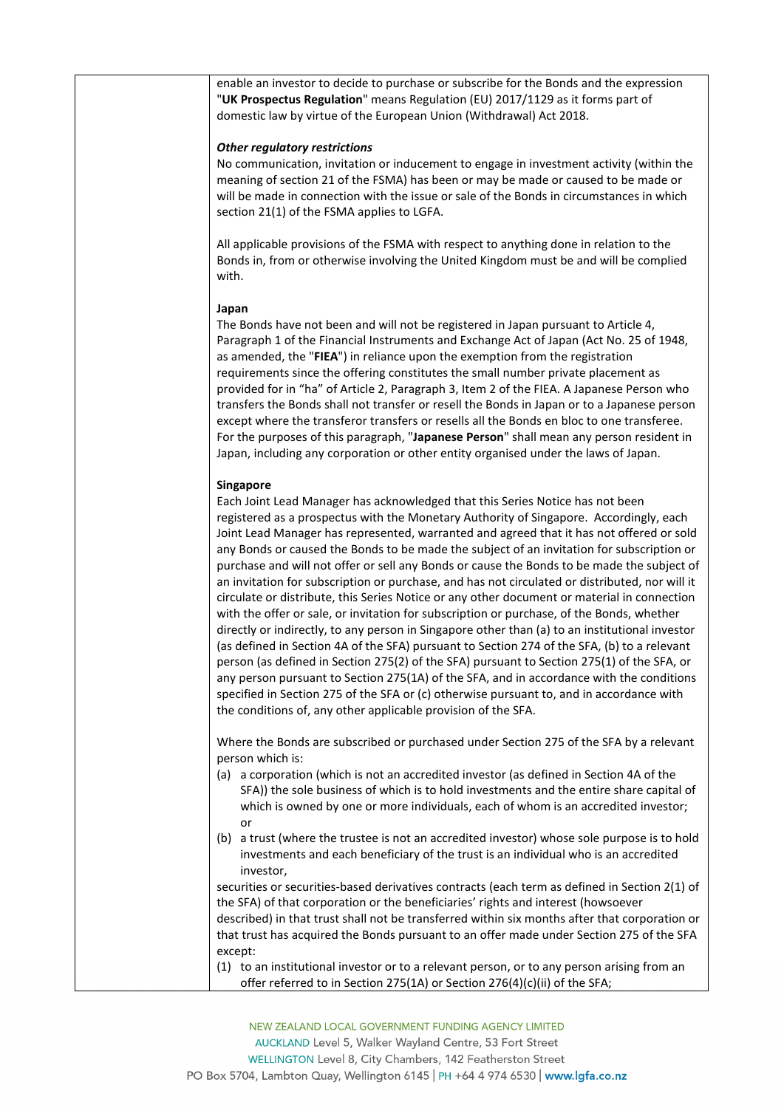enable an investor to decide to purchase or subscribe for the Bonds and the expression "**UK Prospectus Regulation**" means Regulation (EU) 2017/1129 as it forms part of domestic law by virtue of the European Union (Withdrawal) Act 2018.

# *Other regulatory restrictions*

No communication, invitation or inducement to engage in investment activity (within the meaning of section 21 of the FSMA) has been or may be made or caused to be made or will be made in connection with the issue or sale of the Bonds in circumstances in which section 21(1) of the FSMA applies to LGFA.

All applicable provisions of the FSMA with respect to anything done in relation to the Bonds in, from or otherwise involving the United Kingdom must be and will be complied with.

# **Japan**

The Bonds have not been and will not be registered in Japan pursuant to Article 4, Paragraph 1 of the Financial Instruments and Exchange Act of Japan (Act No. 25 of 1948, as amended, the "**FIEA**") in reliance upon the exemption from the registration requirements since the offering constitutes the small number private placement as provided for in "ha" of Article 2, Paragraph 3, Item 2 of the FIEA. A Japanese Person who transfers the Bonds shall not transfer or resell the Bonds in Japan or to a Japanese person except where the transferor transfers or resells all the Bonds en bloc to one transferee. For the purposes of this paragraph, "**Japanese Person**" shall mean any person resident in Japan, including any corporation or other entity organised under the laws of Japan.

# **Singapore**

| Each Joint Lead Manager has acknowledged that this Series Notice has not been                  |
|------------------------------------------------------------------------------------------------|
| registered as a prospectus with the Monetary Authority of Singapore. Accordingly, each         |
| Joint Lead Manager has represented, warranted and agreed that it has not offered or sold       |
| any Bonds or caused the Bonds to be made the subject of an invitation for subscription or      |
| purchase and will not offer or sell any Bonds or cause the Bonds to be made the subject of     |
| an invitation for subscription or purchase, and has not circulated or distributed, nor will it |
| circulate or distribute, this Series Notice or any other document or material in connection    |
| with the offer or sale, or invitation for subscription or purchase, of the Bonds, whether      |
| directly or indirectly, to any person in Singapore other than (a) to an institutional investor |
| (as defined in Section 4A of the SFA) pursuant to Section 274 of the SFA, (b) to a relevant    |
| person (as defined in Section 275(2) of the SFA) pursuant to Section 275(1) of the SFA, or     |
| any person pursuant to Section 275(1A) of the SFA, and in accordance with the conditions       |
| specified in Section 275 of the SFA or (c) otherwise pursuant to, and in accordance with       |
| the conditions of, any other applicable provision of the SFA.                                  |

Where the Bonds are subscribed or purchased under Section 275 of the SFA by a relevant person which is:

- (a) a corporation (which is not an accredited investor (as defined in Section 4A of the SFA)) the sole business of which is to hold investments and the entire share capital of which is owned by one or more individuals, each of whom is an accredited investor; or
- (b) a trust (where the trustee is not an accredited investor) whose sole purpose is to hold investments and each beneficiary of the trust is an individual who is an accredited investor,

securities or securities-based derivatives contracts (each term as defined in Section 2(1) of the SFA) of that corporation or the beneficiaries' rights and interest (howsoever described) in that trust shall not be transferred within six months after that corporation or that trust has acquired the Bonds pursuant to an offer made under Section 275 of the SFA except:

(1) to an institutional investor or to a relevant person, or to any person arising from an offer referred to in Section 275(1A) or Section 276(4)(c)(ii) of the SFA;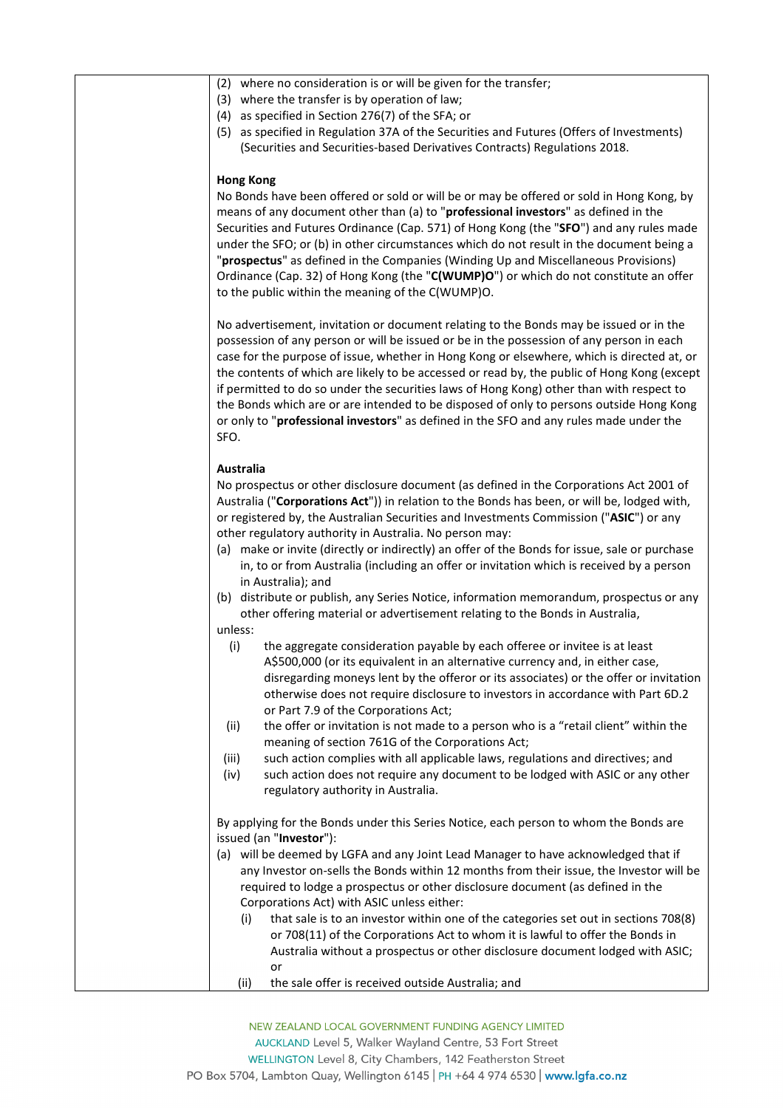| (2) where no consideration is or will be given for the transfer;                              |
|-----------------------------------------------------------------------------------------------|
| (3) where the transfer is by operation of law;                                                |
| (4) as specified in Section 276(7) of the SFA; or                                             |
| (5) as specified in Regulation 37A of the Securities and Futures (Offers of Investments)      |
| (Securities and Securities-based Derivatives Contracts) Regulations 2018.                     |
|                                                                                               |
| <b>Hong Kong</b>                                                                              |
| No Bonds have been offered or sold or will be or may be offered or sold in Hong Kong, by      |
| means of any document other than (a) to "professional investors" as defined in the            |
| Securities and Futures Ordinance (Cap. 571) of Hong Kong (the "SFO") and any rules made       |
| under the SFO; or (b) in other circumstances which do not result in the document being a      |
| "prospectus" as defined in the Companies (Winding Up and Miscellaneous Provisions)            |
| Ordinance (Cap. 32) of Hong Kong (the "C(WUMP)O") or which do not constitute an offer         |
| to the public within the meaning of the C(WUMP)O.                                             |
|                                                                                               |
| No advertisement, invitation or document relating to the Bonds may be issued or in the        |
| possession of any person or will be issued or be in the possession of any person in each      |
| case for the purpose of issue, whether in Hong Kong or elsewhere, which is directed at, or    |
| the contents of which are likely to be accessed or read by, the public of Hong Kong (except   |
|                                                                                               |
| if permitted to do so under the securities laws of Hong Kong) other than with respect to      |
| the Bonds which are or are intended to be disposed of only to persons outside Hong Kong       |
| or only to "professional investors" as defined in the SFO and any rules made under the        |
| SFO.                                                                                          |
|                                                                                               |
| <b>Australia</b>                                                                              |
| No prospectus or other disclosure document (as defined in the Corporations Act 2001 of        |
| Australia ("Corporations Act")) in relation to the Bonds has been, or will be, lodged with,   |
| or registered by, the Australian Securities and Investments Commission ("ASIC") or any        |
| other regulatory authority in Australia. No person may:                                       |
| (a) make or invite (directly or indirectly) an offer of the Bonds for issue, sale or purchase |
| in, to or from Australia (including an offer or invitation which is received by a person      |
| in Australia); and                                                                            |
| (b) distribute or publish, any Series Notice, information memorandum, prospectus or any       |
| other offering material or advertisement relating to the Bonds in Australia,                  |
| unless:                                                                                       |
| (i)<br>the aggregate consideration payable by each offeree or invitee is at least             |
| A\$500,000 (or its equivalent in an alternative currency and, in either case,                 |
| disregarding moneys lent by the offeror or its associates) or the offer or invitation         |
| otherwise does not require disclosure to investors in accordance with Part 6D.2               |
| or Part 7.9 of the Corporations Act;                                                          |
| the offer or invitation is not made to a person who is a "retail client" within the<br>(ii)   |
| meaning of section 761G of the Corporations Act;                                              |
| such action complies with all applicable laws, regulations and directives; and<br>(iii)       |
| such action does not require any document to be lodged with ASIC or any other<br>(iv)         |
| regulatory authority in Australia.                                                            |
|                                                                                               |
| By applying for the Bonds under this Series Notice, each person to whom the Bonds are         |
| issued (an "Investor"):                                                                       |
| (a) will be deemed by LGFA and any Joint Lead Manager to have acknowledged that if            |
| any Investor on-sells the Bonds within 12 months from their issue, the Investor will be       |
| required to lodge a prospectus or other disclosure document (as defined in the                |
| Corporations Act) with ASIC unless either:                                                    |
| that sale is to an investor within one of the categories set out in sections 708(8)<br>(i)    |
| or 708(11) of the Corporations Act to whom it is lawful to offer the Bonds in                 |
| Australia without a prospectus or other disclosure document lodged with ASIC;                 |
| or                                                                                            |
| the sale offer is received outside Australia; and<br>(ii)                                     |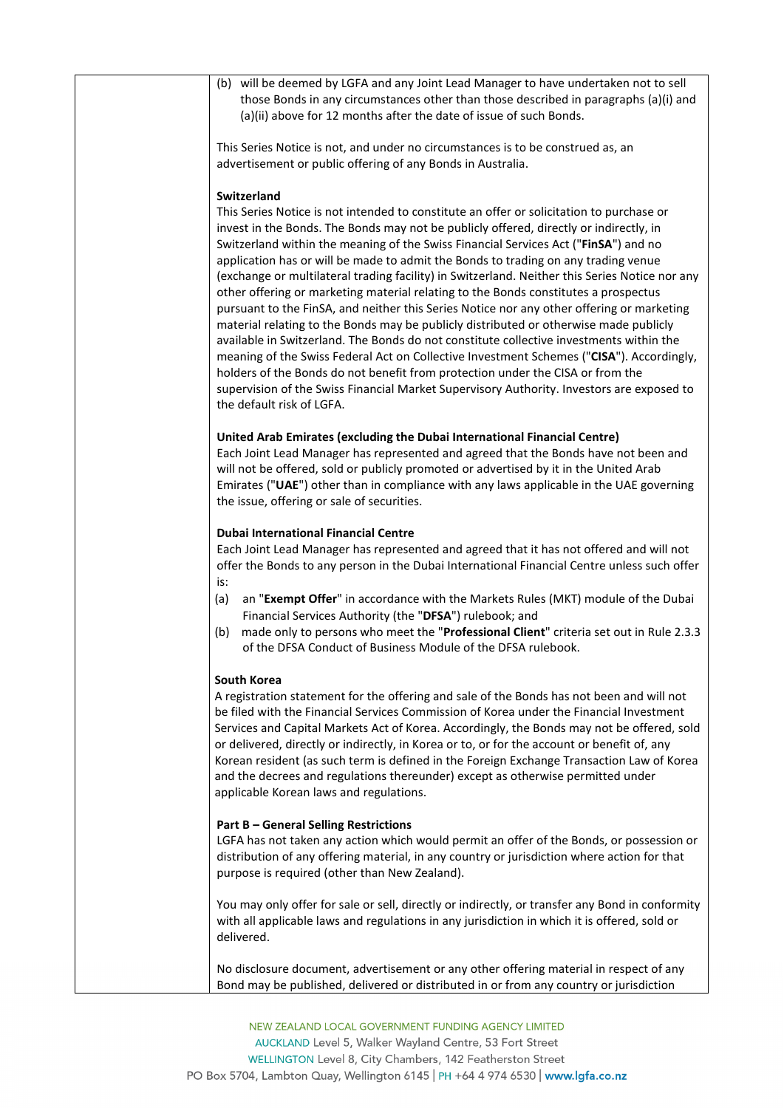| (b) will be deemed by LGFA and any Joint Lead Manager to have undertaken not to sell                                                                                                                                                                                                                                                                                                                                                                                                                                                                                                                                                                                                                                                                                                                                                                                                                                                                                                                                                                                                                                                                             |
|------------------------------------------------------------------------------------------------------------------------------------------------------------------------------------------------------------------------------------------------------------------------------------------------------------------------------------------------------------------------------------------------------------------------------------------------------------------------------------------------------------------------------------------------------------------------------------------------------------------------------------------------------------------------------------------------------------------------------------------------------------------------------------------------------------------------------------------------------------------------------------------------------------------------------------------------------------------------------------------------------------------------------------------------------------------------------------------------------------------------------------------------------------------|
| those Bonds in any circumstances other than those described in paragraphs (a)(i) and<br>(a)(ii) above for 12 months after the date of issue of such Bonds.                                                                                                                                                                                                                                                                                                                                                                                                                                                                                                                                                                                                                                                                                                                                                                                                                                                                                                                                                                                                       |
| This Series Notice is not, and under no circumstances is to be construed as, an<br>advertisement or public offering of any Bonds in Australia.                                                                                                                                                                                                                                                                                                                                                                                                                                                                                                                                                                                                                                                                                                                                                                                                                                                                                                                                                                                                                   |
| Switzerland<br>This Series Notice is not intended to constitute an offer or solicitation to purchase or<br>invest in the Bonds. The Bonds may not be publicly offered, directly or indirectly, in<br>Switzerland within the meaning of the Swiss Financial Services Act ("FinSA") and no<br>application has or will be made to admit the Bonds to trading on any trading venue<br>(exchange or multilateral trading facility) in Switzerland. Neither this Series Notice nor any<br>other offering or marketing material relating to the Bonds constitutes a prospectus<br>pursuant to the FinSA, and neither this Series Notice nor any other offering or marketing<br>material relating to the Bonds may be publicly distributed or otherwise made publicly<br>available in Switzerland. The Bonds do not constitute collective investments within the<br>meaning of the Swiss Federal Act on Collective Investment Schemes ("CISA"). Accordingly,<br>holders of the Bonds do not benefit from protection under the CISA or from the<br>supervision of the Swiss Financial Market Supervisory Authority. Investors are exposed to<br>the default risk of LGFA. |
| United Arab Emirates (excluding the Dubai International Financial Centre)<br>Each Joint Lead Manager has represented and agreed that the Bonds have not been and<br>will not be offered, sold or publicly promoted or advertised by it in the United Arab<br>Emirates ("UAE") other than in compliance with any laws applicable in the UAE governing<br>the issue, offering or sale of securities.                                                                                                                                                                                                                                                                                                                                                                                                                                                                                                                                                                                                                                                                                                                                                               |
| <b>Dubai International Financial Centre</b><br>Each Joint Lead Manager has represented and agreed that it has not offered and will not<br>offer the Bonds to any person in the Dubai International Financial Centre unless such offer<br>is:<br>an "Exempt Offer" in accordance with the Markets Rules (MKT) module of the Dubai<br>(a)<br>Financial Services Authority (the "DFSA") rulebook; and<br>made only to persons who meet the "Professional Client" criteria set out in Rule 2.3.3<br>(b)                                                                                                                                                                                                                                                                                                                                                                                                                                                                                                                                                                                                                                                              |
| of the DFSA Conduct of Business Module of the DFSA rulebook.<br>South Korea<br>A registration statement for the offering and sale of the Bonds has not been and will not<br>be filed with the Financial Services Commission of Korea under the Financial Investment<br>Services and Capital Markets Act of Korea. Accordingly, the Bonds may not be offered, sold<br>or delivered, directly or indirectly, in Korea or to, or for the account or benefit of, any<br>Korean resident (as such term is defined in the Foreign Exchange Transaction Law of Korea<br>and the decrees and regulations thereunder) except as otherwise permitted under<br>applicable Korean laws and regulations.                                                                                                                                                                                                                                                                                                                                                                                                                                                                      |
| <b>Part B - General Selling Restrictions</b><br>LGFA has not taken any action which would permit an offer of the Bonds, or possession or<br>distribution of any offering material, in any country or jurisdiction where action for that<br>purpose is required (other than New Zealand).                                                                                                                                                                                                                                                                                                                                                                                                                                                                                                                                                                                                                                                                                                                                                                                                                                                                         |
| You may only offer for sale or sell, directly or indirectly, or transfer any Bond in conformity<br>with all applicable laws and regulations in any jurisdiction in which it is offered, sold or<br>delivered.                                                                                                                                                                                                                                                                                                                                                                                                                                                                                                                                                                                                                                                                                                                                                                                                                                                                                                                                                    |
| No disclosure document, advertisement or any other offering material in respect of any<br>Bond may be published, delivered or distributed in or from any country or jurisdiction                                                                                                                                                                                                                                                                                                                                                                                                                                                                                                                                                                                                                                                                                                                                                                                                                                                                                                                                                                                 |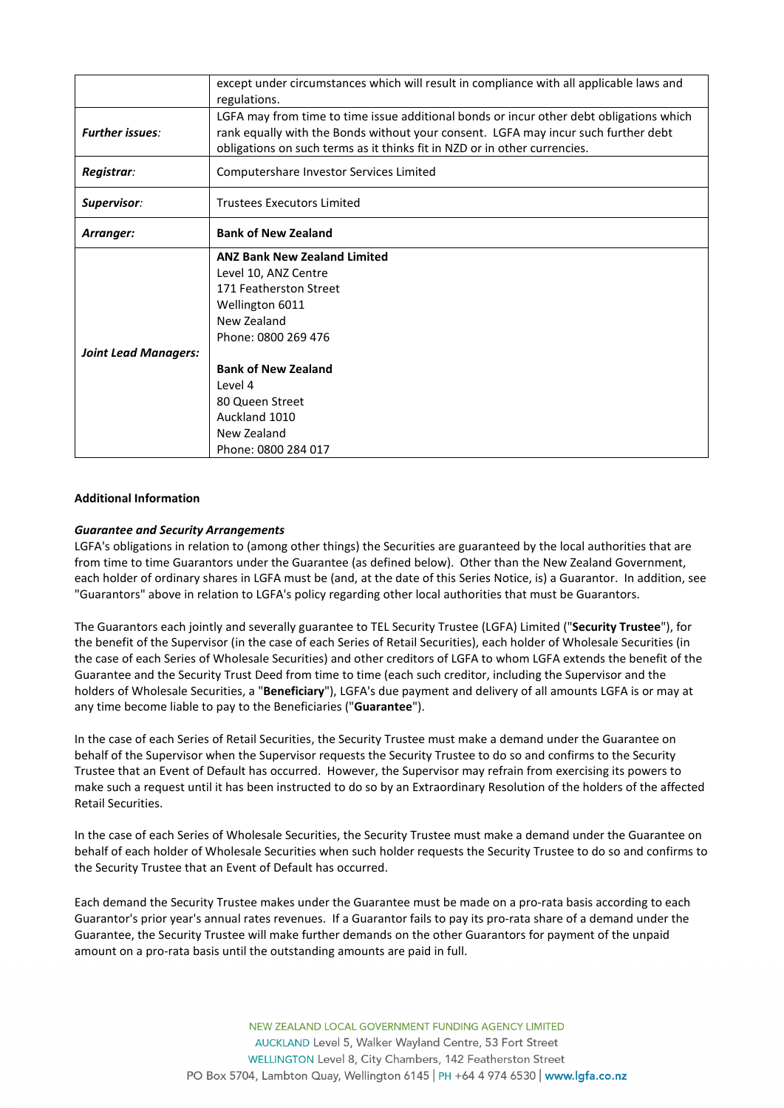| except under circumstances which will result in compliance with all applicable laws and<br>regulations.                                                                                                                                                           |
|-------------------------------------------------------------------------------------------------------------------------------------------------------------------------------------------------------------------------------------------------------------------|
| LGFA may from time to time issue additional bonds or incur other debt obligations which<br>rank equally with the Bonds without your consent. LGFA may incur such further debt<br>obligations on such terms as it thinks fit in NZD or in other currencies.        |
| Computershare Investor Services Limited                                                                                                                                                                                                                           |
| <b>Trustees Executors Limited</b>                                                                                                                                                                                                                                 |
| <b>Bank of New Zealand</b>                                                                                                                                                                                                                                        |
| <b>ANZ Bank New Zealand Limited</b><br>Level 10, ANZ Centre<br>171 Featherston Street<br>Wellington 6011<br>New Zealand<br>Phone: 0800 269 476<br><b>Bank of New Zealand</b><br>Level 4<br>80 Queen Street<br>Auckland 1010<br>New Zealand<br>Phone: 0800 284 017 |
|                                                                                                                                                                                                                                                                   |

# **Additional Information**

# *Guarantee and Security Arrangements*

LGFA's obligations in relation to (among other things) the Securities are guaranteed by the local authorities that are from time to time Guarantors under the Guarantee (as defined below). Other than the New Zealand Government, each holder of ordinary shares in LGFA must be (and, at the date of this Series Notice, is) a Guarantor. In addition, see "Guarantors" above in relation to LGFA's policy regarding other local authorities that must be Guarantors.

The Guarantors each jointly and severally guarantee to TEL Security Trustee (LGFA) Limited ("**Security Trustee**"), for the benefit of the Supervisor (in the case of each Series of Retail Securities), each holder of Wholesale Securities (in the case of each Series of Wholesale Securities) and other creditors of LGFA to whom LGFA extends the benefit of the Guarantee and the Security Trust Deed from time to time (each such creditor, including the Supervisor and the holders of Wholesale Securities, a "**Beneficiary**"), LGFA's due payment and delivery of all amounts LGFA is or may at any time become liable to pay to the Beneficiaries ("**Guarantee**").

In the case of each Series of Retail Securities, the Security Trustee must make a demand under the Guarantee on behalf of the Supervisor when the Supervisor requests the Security Trustee to do so and confirms to the Security Trustee that an Event of Default has occurred. However, the Supervisor may refrain from exercising its powers to make such a request until it has been instructed to do so by an Extraordinary Resolution of the holders of the affected Retail Securities.

In the case of each Series of Wholesale Securities, the Security Trustee must make a demand under the Guarantee on behalf of each holder of Wholesale Securities when such holder requests the Security Trustee to do so and confirms to the Security Trustee that an Event of Default has occurred.

Each demand the Security Trustee makes under the Guarantee must be made on a pro-rata basis according to each Guarantor's prior year's annual rates revenues. If a Guarantor fails to pay its pro-rata share of a demand under the Guarantee, the Security Trustee will make further demands on the other Guarantors for payment of the unpaid amount on a pro-rata basis until the outstanding amounts are paid in full.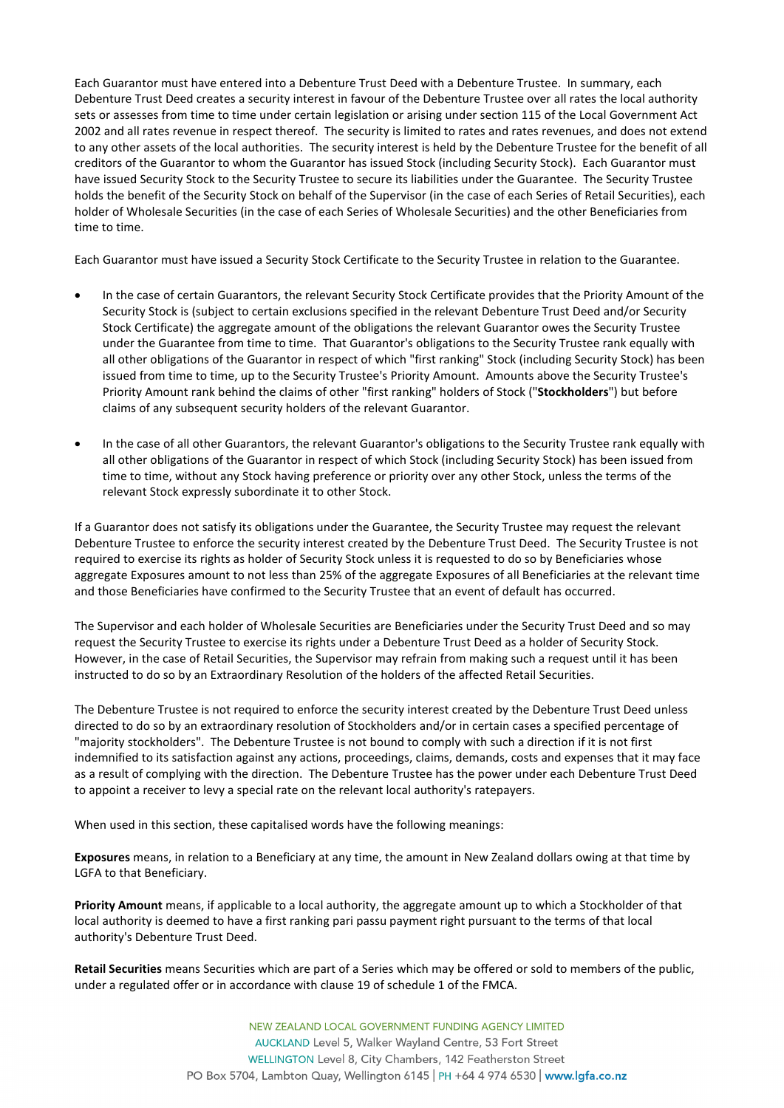Each Guarantor must have entered into a Debenture Trust Deed with a Debenture Trustee. In summary, each Debenture Trust Deed creates a security interest in favour of the Debenture Trustee over all rates the local authority sets or assesses from time to time under certain legislation or arising under section 115 of the Local Government Act 2002 and all rates revenue in respect thereof. The security is limited to rates and rates revenues, and does not extend to any other assets of the local authorities. The security interest is held by the Debenture Trustee for the benefit of all creditors of the Guarantor to whom the Guarantor has issued Stock (including Security Stock). Each Guarantor must have issued Security Stock to the Security Trustee to secure its liabilities under the Guarantee. The Security Trustee holds the benefit of the Security Stock on behalf of the Supervisor (in the case of each Series of Retail Securities), each holder of Wholesale Securities (in the case of each Series of Wholesale Securities) and the other Beneficiaries from time to time.

Each Guarantor must have issued a Security Stock Certificate to the Security Trustee in relation to the Guarantee.

- In the case of certain Guarantors, the relevant Security Stock Certificate provides that the Priority Amount of the Security Stock is (subject to certain exclusions specified in the relevant Debenture Trust Deed and/or Security Stock Certificate) the aggregate amount of the obligations the relevant Guarantor owes the Security Trustee under the Guarantee from time to time. That Guarantor's obligations to the Security Trustee rank equally with all other obligations of the Guarantor in respect of which "first ranking" Stock (including Security Stock) has been issued from time to time, up to the Security Trustee's Priority Amount. Amounts above the Security Trustee's Priority Amount rank behind the claims of other "first ranking" holders of Stock ("**Stockholders**") but before claims of any subsequent security holders of the relevant Guarantor.
- In the case of all other Guarantors, the relevant Guarantor's obligations to the Security Trustee rank equally with all other obligations of the Guarantor in respect of which Stock (including Security Stock) has been issued from time to time, without any Stock having preference or priority over any other Stock, unless the terms of the relevant Stock expressly subordinate it to other Stock.

If a Guarantor does not satisfy its obligations under the Guarantee, the Security Trustee may request the relevant Debenture Trustee to enforce the security interest created by the Debenture Trust Deed. The Security Trustee is not required to exercise its rights as holder of Security Stock unless it is requested to do so by Beneficiaries whose aggregate Exposures amount to not less than 25% of the aggregate Exposures of all Beneficiaries at the relevant time and those Beneficiaries have confirmed to the Security Trustee that an event of default has occurred.

The Supervisor and each holder of Wholesale Securities are Beneficiaries under the Security Trust Deed and so may request the Security Trustee to exercise its rights under a Debenture Trust Deed as a holder of Security Stock. However, in the case of Retail Securities, the Supervisor may refrain from making such a request until it has been instructed to do so by an Extraordinary Resolution of the holders of the affected Retail Securities.

The Debenture Trustee is not required to enforce the security interest created by the Debenture Trust Deed unless directed to do so by an extraordinary resolution of Stockholders and/or in certain cases a specified percentage of "majority stockholders". The Debenture Trustee is not bound to comply with such a direction if it is not first indemnified to its satisfaction against any actions, proceedings, claims, demands, costs and expenses that it may face as a result of complying with the direction. The Debenture Trustee has the power under each Debenture Trust Deed to appoint a receiver to levy a special rate on the relevant local authority's ratepayers.

When used in this section, these capitalised words have the following meanings:

**Exposures** means, in relation to a Beneficiary at any time, the amount in New Zealand dollars owing at that time by LGFA to that Beneficiary.

**Priority Amount** means, if applicable to a local authority, the aggregate amount up to which a Stockholder of that local authority is deemed to have a first ranking pari passu payment right pursuant to the terms of that local authority's Debenture Trust Deed.

**Retail Securities** means Securities which are part of a Series which may be offered or sold to members of the public, under a regulated offer or in accordance with clause 19 of schedule 1 of the FMCA.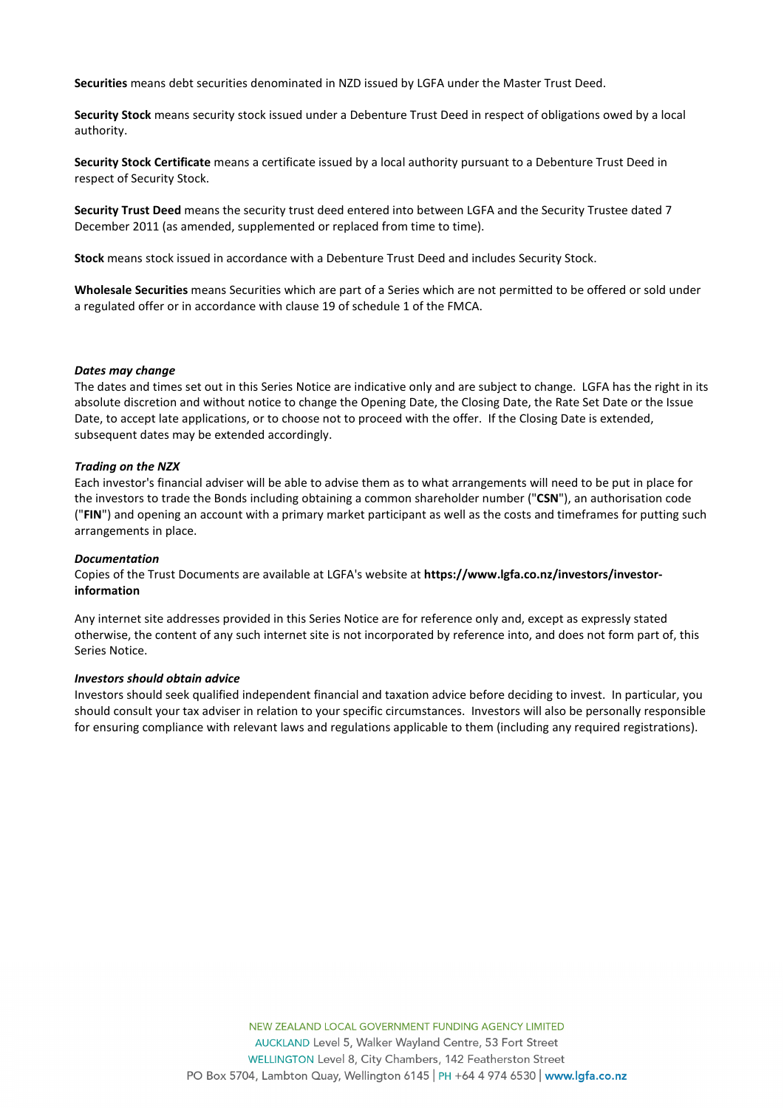**Securities** means debt securities denominated in NZD issued by LGFA under the Master Trust Deed.

**Security Stock** means security stock issued under a Debenture Trust Deed in respect of obligations owed by a local authority.

**Security Stock Certificate** means a certificate issued by a local authority pursuant to a Debenture Trust Deed in respect of Security Stock.

**Security Trust Deed** means the security trust deed entered into between LGFA and the Security Trustee dated 7 December 2011 (as amended, supplemented or replaced from time to time).

**Stock** means stock issued in accordance with a Debenture Trust Deed and includes Security Stock.

**Wholesale Securities** means Securities which are part of a Series which are not permitted to be offered or sold under a regulated offer or in accordance with clause 19 of schedule 1 of the FMCA.

### *Dates may change*

The dates and times set out in this Series Notice are indicative only and are subject to change. LGFA has the right in its absolute discretion and without notice to change the Opening Date, the Closing Date, the Rate Set Date or the Issue Date, to accept late applications, or to choose not to proceed with the offer. If the Closing Date is extended, subsequent dates may be extended accordingly.

# *Trading on the NZX*

Each investor's financial adviser will be able to advise them as to what arrangements will need to be put in place for the investors to trade the Bonds including obtaining a common shareholder number ("**CSN**"), an authorisation code ("**FIN**") and opening an account with a primary market participant as well as the costs and timeframes for putting such arrangements in place.

### *Documentation*

Copies of the Trust Documents are available at LGFA's website at **[https://www.lgfa.co.nz/investors/investor](https://www.lgfa.co.nz/investors/investor-information)[information](https://www.lgfa.co.nz/investors/investor-information)**

Any internet site addresses provided in this Series Notice are for reference only and, except as expressly stated otherwise, the content of any such internet site is not incorporated by reference into, and does not form part of, this Series Notice.

### *Investors should obtain advice*

Investors should seek qualified independent financial and taxation advice before deciding to invest. In particular, you should consult your tax adviser in relation to your specific circumstances. Investors will also be personally responsible for ensuring compliance with relevant laws and regulations applicable to them (including any required registrations).